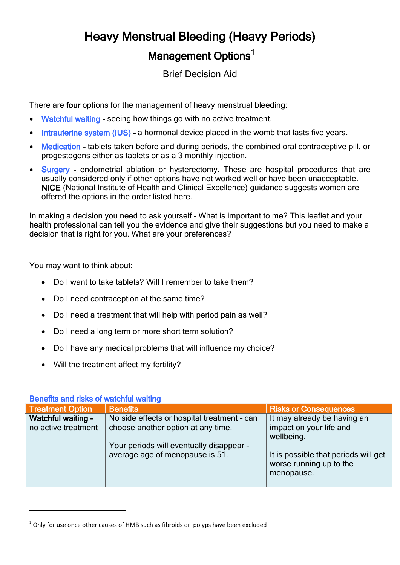# Heavy Menstrual Bleeding (Heavy Periods) Management Options<sup>1</sup>

Brief Decision Aid

There are four options for the management of heavy menstrual bleeding:

- Watchful waiting seeing how things go with no active treatment.
- Intrauterine system (IUS) a hormonal device placed in the womb that lasts five years.
- Medication tablets taken before and during periods, the combined oral contraceptive pill, or progestogens either as tablets or as a 3 monthly injection.
- Surgery endometrial ablation or hysterectomy. These are hospital procedures that are usually considered only if other options have not worked well or have been unacceptable. NICE (National Institute of Health and Clinical Excellence) guidance suggests women are offered the options in the order listed here.

In making a decision you need to ask yourself – What is important to me? This leaflet and your health professional can tell you the evidence and give their suggestions but you need to make a decision that is right for you. What are your preferences?

You may want to think about:

- Do I want to take tablets? Will I remember to take them?
- Do I need contraception at the same time?
- Do I need a treatment that will help with period pain as well?
- Do I need a long term or more short term solution?
- Do I have any medical problems that will influence my choice?
- Will the treatment affect my fertility?

| <b>PUNCING GINE INTO UP THE OF HEATHER</b> |                                                                                   |                                                                               |  |
|--------------------------------------------|-----------------------------------------------------------------------------------|-------------------------------------------------------------------------------|--|
| <b>Treatment Option</b>                    | <b>Benefits</b>                                                                   | <b>Risks or Consequences</b>                                                  |  |
| Watchful waiting -<br>no active treatment  | No side effects or hospital treatment - can<br>choose another option at any time. | It may already be having an<br>impact on your life and<br>wellbeing.          |  |
|                                            | Your periods will eventually disappear -<br>average age of menopause is 51.       | It is possible that periods will get<br>worse running up to the<br>menopause. |  |

# Benefits and risks of watchful waiting

 $\overline{a}$ 

 $^1$  Only for use once other causes of HMB such as fibroids or polyps have been excluded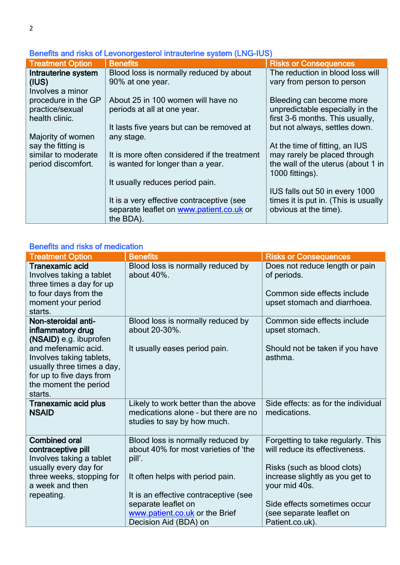| <u>Deficito di la fisici de la civilidade di littradicitile system (Live-loo)</u> |                                              |                                                       |  |  |
|-----------------------------------------------------------------------------------|----------------------------------------------|-------------------------------------------------------|--|--|
| <b>Treatment Option</b>                                                           | <b>Benefits</b>                              | <b>Risks or Consequences</b>                          |  |  |
| Intrauterine system                                                               | Blood loss is normally reduced by about      | The reduction in blood loss will                      |  |  |
| (IUS)                                                                             | 90% at one year.                             | vary from person to person                            |  |  |
| Involves a minor                                                                  |                                              |                                                       |  |  |
| procedure in the GP                                                               | About 25 in 100 women will have no           | Bleeding can become more                              |  |  |
| practice/sexual                                                                   | periods at all at one year.                  | unpredictable especially in the                       |  |  |
| health clinic.                                                                    |                                              | first 3-6 months. This usually,                       |  |  |
|                                                                                   | It lasts five years but can be removed at    | but not always, settles down.                         |  |  |
| Majority of women                                                                 | any stage.                                   |                                                       |  |  |
| say the fitting is                                                                |                                              | At the time of fitting, an IUS                        |  |  |
| similar to moderate                                                               | It is more often considered if the treatment | may rarely be placed through                          |  |  |
| period discomfort.                                                                | is wanted for longer than a year.            | the wall of the uterus (about 1 in<br>1000 fittings). |  |  |
|                                                                                   | It usually reduces period pain.              |                                                       |  |  |
|                                                                                   |                                              | IUS falls out 50 in every 1000                        |  |  |
|                                                                                   | It is a very effective contraceptive (see    | times it is put in. (This is usually                  |  |  |
|                                                                                   | separate leaflet on www.patient.co.uk or     | obvious at the time).                                 |  |  |
|                                                                                   | the BDA).                                    |                                                       |  |  |

# Benefits and risks of Levonorgesterol intrauterine system (LNG-IUS)

# Benefits and risks of medication

| <b>Treatment Option</b>                                                                                                                       | <b>Benefits</b>                                                                                             | <b>Risks or Consequences</b>                                                                                 |
|-----------------------------------------------------------------------------------------------------------------------------------------------|-------------------------------------------------------------------------------------------------------------|--------------------------------------------------------------------------------------------------------------|
| <b>Tranexamic acid</b><br>Involves taking a tablet<br>three times a day for up<br>to four days from the<br>moment your period<br>starts.      | Blood loss is normally reduced by<br>about 40%.                                                             | Does not reduce length or pain<br>of periods.<br>Common side effects include<br>upset stomach and diarrhoea. |
| Non-steroidal anti-<br>inflammatory drug<br>(NSAID) e.g. ibuprofen                                                                            | Blood loss is normally reduced by<br>about 20-30%.                                                          | Common side effects include<br>upset stomach.                                                                |
| and mefenamic acid.<br>Involves taking tablets,<br>usually three times a day,<br>for up to five days from<br>the moment the period<br>starts. | It usually eases period pain.                                                                               | Should not be taken if you have<br>asthma.                                                                   |
| <b>Tranexamic acid plus</b><br><b>NSAID</b>                                                                                                   | Likely to work better than the above<br>medications alone - but there are no<br>studies to say by how much. | Side effects: as for the individual<br>medications.                                                          |
| <b>Combined oral</b><br>contraceptive pill<br>Involves taking a tablet<br>usually every day for                                               | Blood loss is normally reduced by<br>about 40% for most varieties of 'the<br>pill'.                         | Forgetting to take regularly. This<br>will reduce its effectiveness.<br>Risks (such as blood clots)          |
| three weeks, stopping for<br>a week and then<br>repeating.                                                                                    | It often helps with period pain.<br>It is an effective contraceptive (see                                   | increase slightly as you get to<br>your mid 40s.                                                             |
|                                                                                                                                               | separate leaflet on<br>www.patient.co.uk or the Brief<br>Decision Aid (BDA) on                              | Side effects sometimes occur<br>(see separate leaflet on<br>Patient.co.uk).                                  |